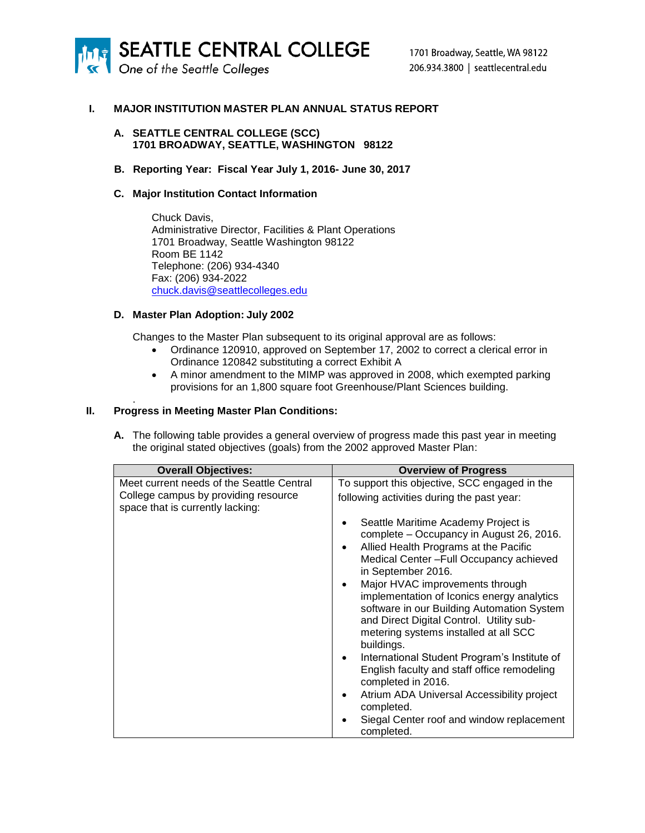

## **I. MAJOR INSTITUTION MASTER PLAN ANNUAL STATUS REPORT**

#### **A. SEATTLE CENTRAL COLLEGE (SCC) 1701 BROADWAY, SEATTLE, WASHINGTON 98122**

**B. Reporting Year: Fiscal Year July 1, 2016- June 30, 2017**

# **C. Major Institution Contact Information**

Chuck Davis, Administrative Director, Facilities & Plant Operations 1701 Broadway, Seattle Washington 98122 Room BE 1142 Telephone: (206) 934-4340 Fax: (206) 934-2022 [chuck.davis@seattlecolleges.edu](mailto:chuck.davis@seattlecolleges.edu)

# **D. Master Plan Adoption: July 2002**

Changes to the Master Plan subsequent to its original approval are as follows:

- Ordinance 120910, approved on September 17, 2002 to correct a clerical error in Ordinance 120842 substituting a correct Exhibit A
- A minor amendment to the MIMP was approved in 2008, which exempted parking provisions for an 1,800 square foot Greenhouse/Plant Sciences building.

## **II. Progress in Meeting Master Plan Conditions:**

.

**A.** The following table provides a general overview of progress made this past year in meeting the original stated objectives (goals) from the 2002 approved Master Plan:

| <b>Overall Objectives:</b>                                                                                            | <b>Overview of Progress</b>                                                                                                                                                                                                                                                                                                                                                                                                                                                                                                                                                                                                                                                   |
|-----------------------------------------------------------------------------------------------------------------------|-------------------------------------------------------------------------------------------------------------------------------------------------------------------------------------------------------------------------------------------------------------------------------------------------------------------------------------------------------------------------------------------------------------------------------------------------------------------------------------------------------------------------------------------------------------------------------------------------------------------------------------------------------------------------------|
| Meet current needs of the Seattle Central<br>College campus by providing resource<br>space that is currently lacking: | To support this objective, SCC engaged in the<br>following activities during the past year:                                                                                                                                                                                                                                                                                                                                                                                                                                                                                                                                                                                   |
|                                                                                                                       | Seattle Maritime Academy Project is<br>complete - Occupancy in August 26, 2016.<br>Allied Health Programs at the Pacific<br>Medical Center - Full Occupancy achieved<br>in September 2016.<br>Major HVAC improvements through<br>implementation of Iconics energy analytics<br>software in our Building Automation System<br>and Direct Digital Control. Utility sub-<br>metering systems installed at all SCC<br>buildings.<br>International Student Program's Institute of<br>٠<br>English faculty and staff office remodeling<br>completed in 2016.<br>Atrium ADA Universal Accessibility project<br>completed.<br>Siegal Center roof and window replacement<br>completed. |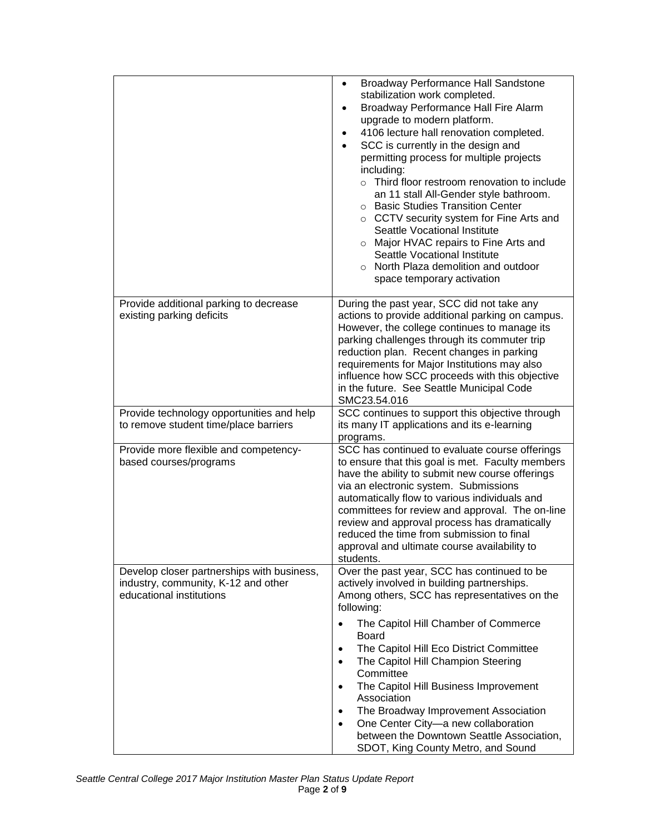|                                                                                                               | Broadway Performance Hall Sandstone<br>$\bullet$<br>stabilization work completed.<br>Broadway Performance Hall Fire Alarm<br>٠<br>upgrade to modern platform.<br>4106 lecture hall renovation completed.<br>٠<br>SCC is currently in the design and<br>permitting process for multiple projects<br>including:<br>o Third floor restroom renovation to include<br>an 11 stall All-Gender style bathroom.<br>○ Basic Studies Transition Center<br>$\circ$ CCTV security system for Fine Arts and<br>Seattle Vocational Institute<br>o Major HVAC repairs to Fine Arts and<br>Seattle Vocational Institute<br>o North Plaza demolition and outdoor<br>space temporary activation |
|---------------------------------------------------------------------------------------------------------------|-------------------------------------------------------------------------------------------------------------------------------------------------------------------------------------------------------------------------------------------------------------------------------------------------------------------------------------------------------------------------------------------------------------------------------------------------------------------------------------------------------------------------------------------------------------------------------------------------------------------------------------------------------------------------------|
| Provide additional parking to decrease<br>existing parking deficits                                           | During the past year, SCC did not take any<br>actions to provide additional parking on campus.<br>However, the college continues to manage its<br>parking challenges through its commuter trip<br>reduction plan. Recent changes in parking<br>requirements for Major Institutions may also<br>influence how SCC proceeds with this objective<br>in the future. See Seattle Municipal Code<br>SMC23.54.016                                                                                                                                                                                                                                                                    |
| Provide technology opportunities and help<br>to remove student time/place barriers                            | SCC continues to support this objective through<br>its many IT applications and its e-learning<br>programs.                                                                                                                                                                                                                                                                                                                                                                                                                                                                                                                                                                   |
| Provide more flexible and competency-<br>based courses/programs                                               | SCC has continued to evaluate course offerings<br>to ensure that this goal is met. Faculty members<br>have the ability to submit new course offerings<br>via an electronic system. Submissions<br>automatically flow to various individuals and<br>committees for review and approval. The on-line<br>review and approval process has dramatically<br>reduced the time from submission to final<br>approval and ultimate course availability to<br>students.                                                                                                                                                                                                                  |
| Develop closer partnerships with business,<br>industry, community, K-12 and other<br>educational institutions | Over the past year, SCC has continued to be<br>actively involved in building partnerships.<br>Among others, SCC has representatives on the<br>following:                                                                                                                                                                                                                                                                                                                                                                                                                                                                                                                      |
|                                                                                                               | The Capitol Hill Chamber of Commerce<br>Board<br>The Capitol Hill Eco District Committee<br>$\bullet$<br>The Capitol Hill Champion Steering<br>$\bullet$<br>Committee<br>The Capitol Hill Business Improvement<br>Association<br>The Broadway Improvement Association<br>٠<br>One Center City-a new collaboration<br>$\bullet$<br>between the Downtown Seattle Association,<br>SDOT, King County Metro, and Sound                                                                                                                                                                                                                                                             |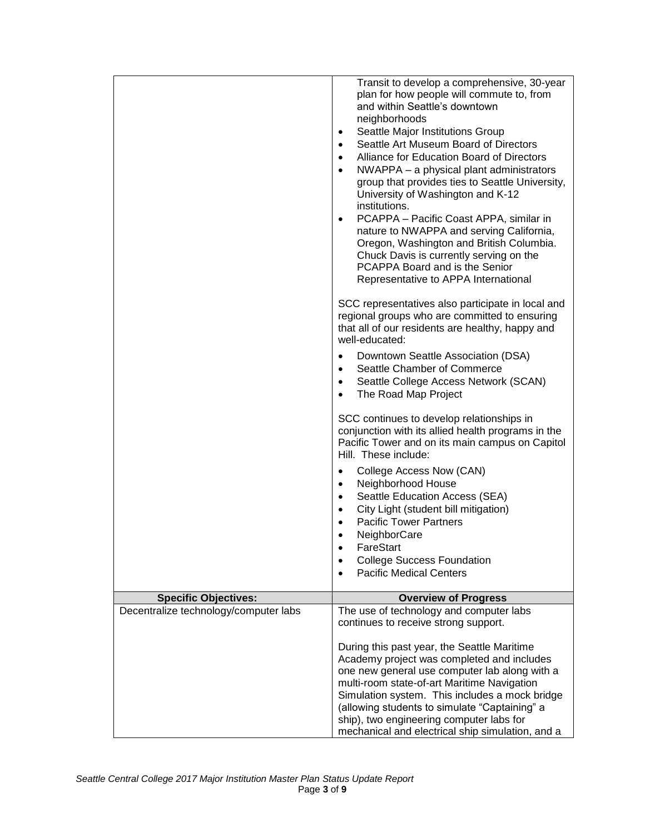|                                       | Transit to develop a comprehensive, 30-year<br>plan for how people will commute to, from<br>and within Seattle's downtown<br>neighborhoods<br>Seattle Major Institutions Group<br>٠<br>Seattle Art Museum Board of Directors<br>$\bullet$<br>Alliance for Education Board of Directors<br>$\bullet$<br>NWAPPA – a physical plant administrators<br>$\bullet$<br>group that provides ties to Seattle University,<br>University of Washington and K-12<br>institutions.<br>PCAPPA - Pacific Coast APPA, similar in<br>$\bullet$<br>nature to NWAPPA and serving California,<br>Oregon, Washington and British Columbia.<br>Chuck Davis is currently serving on the<br>PCAPPA Board and is the Senior<br>Representative to APPA International<br>SCC representatives also participate in local and |
|---------------------------------------|-------------------------------------------------------------------------------------------------------------------------------------------------------------------------------------------------------------------------------------------------------------------------------------------------------------------------------------------------------------------------------------------------------------------------------------------------------------------------------------------------------------------------------------------------------------------------------------------------------------------------------------------------------------------------------------------------------------------------------------------------------------------------------------------------|
|                                       | regional groups who are committed to ensuring<br>that all of our residents are healthy, happy and<br>well-educated:                                                                                                                                                                                                                                                                                                                                                                                                                                                                                                                                                                                                                                                                             |
|                                       | Downtown Seattle Association (DSA)<br>$\bullet$<br>Seattle Chamber of Commerce<br>$\bullet$<br>Seattle College Access Network (SCAN)<br>$\bullet$<br>The Road Map Project<br>$\bullet$                                                                                                                                                                                                                                                                                                                                                                                                                                                                                                                                                                                                          |
|                                       | SCC continues to develop relationships in<br>conjunction with its allied health programs in the<br>Pacific Tower and on its main campus on Capitol<br>Hill. These include:                                                                                                                                                                                                                                                                                                                                                                                                                                                                                                                                                                                                                      |
|                                       | College Access Now (CAN)<br>$\bullet$<br>Neighborhood House<br>$\bullet$<br>Seattle Education Access (SEA)<br>٠<br>City Light (student bill mitigation)<br><b>Pacific Tower Partners</b><br>NeighborCare                                                                                                                                                                                                                                                                                                                                                                                                                                                                                                                                                                                        |
|                                       | FareStart<br><b>College Success Foundation</b><br><b>Pacific Medical Centers</b>                                                                                                                                                                                                                                                                                                                                                                                                                                                                                                                                                                                                                                                                                                                |
| <b>Specific Objectives:</b>           | <b>Overview of Progress</b>                                                                                                                                                                                                                                                                                                                                                                                                                                                                                                                                                                                                                                                                                                                                                                     |
| Decentralize technology/computer labs | The use of technology and computer labs<br>continues to receive strong support.                                                                                                                                                                                                                                                                                                                                                                                                                                                                                                                                                                                                                                                                                                                 |
|                                       | During this past year, the Seattle Maritime<br>Academy project was completed and includes<br>one new general use computer lab along with a<br>multi-room state-of-art Maritime Navigation<br>Simulation system. This includes a mock bridge<br>(allowing students to simulate "Captaining" a<br>ship), two engineering computer labs for<br>mechanical and electrical ship simulation, and a                                                                                                                                                                                                                                                                                                                                                                                                    |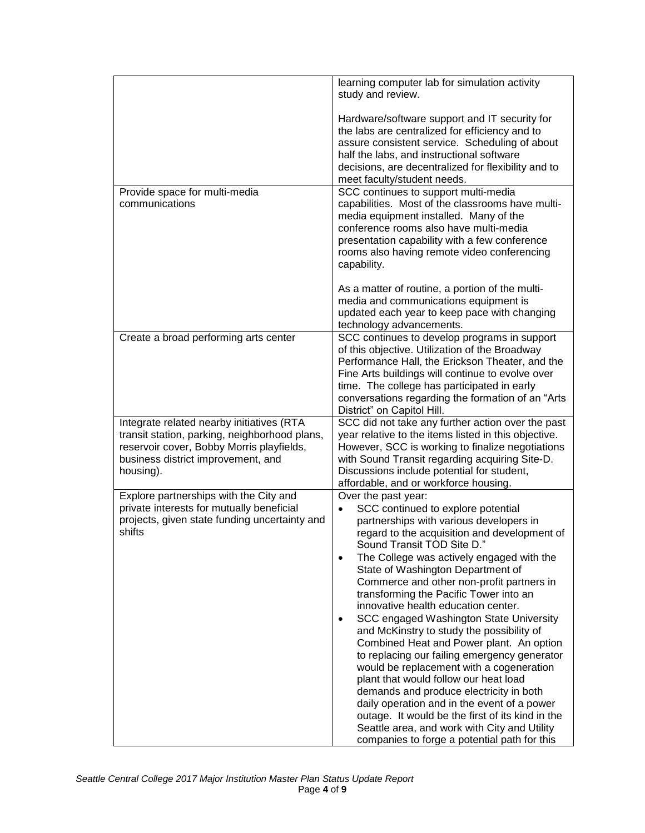|                                                                                                                                                                                            | learning computer lab for simulation activity<br>study and review.                                                                                                                                                                                                                                                                                                                                                                                                                                                                                                                                                                                                                                                                                                                                                                                                                                                                                  |
|--------------------------------------------------------------------------------------------------------------------------------------------------------------------------------------------|-----------------------------------------------------------------------------------------------------------------------------------------------------------------------------------------------------------------------------------------------------------------------------------------------------------------------------------------------------------------------------------------------------------------------------------------------------------------------------------------------------------------------------------------------------------------------------------------------------------------------------------------------------------------------------------------------------------------------------------------------------------------------------------------------------------------------------------------------------------------------------------------------------------------------------------------------------|
|                                                                                                                                                                                            | Hardware/software support and IT security for<br>the labs are centralized for efficiency and to<br>assure consistent service. Scheduling of about<br>half the labs, and instructional software<br>decisions, are decentralized for flexibility and to<br>meet faculty/student needs.                                                                                                                                                                                                                                                                                                                                                                                                                                                                                                                                                                                                                                                                |
| Provide space for multi-media<br>communications                                                                                                                                            | SCC continues to support multi-media<br>capabilities. Most of the classrooms have multi-<br>media equipment installed. Many of the<br>conference rooms also have multi-media<br>presentation capability with a few conference<br>rooms also having remote video conferencing<br>capability.                                                                                                                                                                                                                                                                                                                                                                                                                                                                                                                                                                                                                                                         |
|                                                                                                                                                                                            | As a matter of routine, a portion of the multi-<br>media and communications equipment is<br>updated each year to keep pace with changing<br>technology advancements.                                                                                                                                                                                                                                                                                                                                                                                                                                                                                                                                                                                                                                                                                                                                                                                |
| Create a broad performing arts center                                                                                                                                                      | SCC continues to develop programs in support<br>of this objective. Utilization of the Broadway<br>Performance Hall, the Erickson Theater, and the<br>Fine Arts buildings will continue to evolve over<br>time. The college has participated in early<br>conversations regarding the formation of an "Arts"<br>District" on Capitol Hill.                                                                                                                                                                                                                                                                                                                                                                                                                                                                                                                                                                                                            |
| Integrate related nearby initiatives (RTA<br>transit station, parking, neighborhood plans,<br>reservoir cover, Bobby Morris playfields,<br>business district improvement, and<br>housing). | SCC did not take any further action over the past<br>year relative to the items listed in this objective.<br>However, SCC is working to finalize negotiations<br>with Sound Transit regarding acquiring Site-D.<br>Discussions include potential for student,<br>affordable, and or workforce housing.                                                                                                                                                                                                                                                                                                                                                                                                                                                                                                                                                                                                                                              |
| Explore partnerships with the City and<br>private interests for mutually beneficial<br>projects, given state funding uncertainty and<br>shifts                                             | Over the past year:<br>SCC continued to explore potential<br>partnerships with various developers in<br>regard to the acquisition and development of<br>Sound Transit TOD Site D."<br>The College was actively engaged with the<br>$\bullet$<br>State of Washington Department of<br>Commerce and other non-profit partners in<br>transforming the Pacific Tower into an<br>innovative health education center.<br>SCC engaged Washington State University<br>$\bullet$<br>and McKinstry to study the possibility of<br>Combined Heat and Power plant. An option<br>to replacing our failing emergency generator<br>would be replacement with a cogeneration<br>plant that would follow our heat load<br>demands and produce electricity in both<br>daily operation and in the event of a power<br>outage. It would be the first of its kind in the<br>Seattle area, and work with City and Utility<br>companies to forge a potential path for this |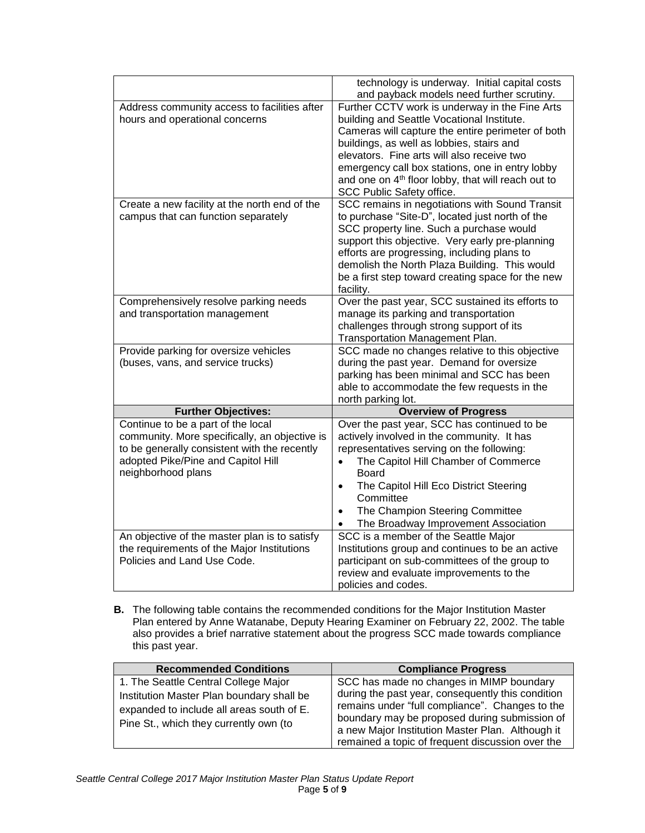|                                               | technology is underway. Initial capital costs<br>and payback models need further scrutiny. |
|-----------------------------------------------|--------------------------------------------------------------------------------------------|
|                                               |                                                                                            |
| Address community access to facilities after  | Further CCTV work is underway in the Fine Arts                                             |
| hours and operational concerns                | building and Seattle Vocational Institute.                                                 |
|                                               | Cameras will capture the entire perimeter of both                                          |
|                                               | buildings, as well as lobbies, stairs and                                                  |
|                                               | elevators. Fine arts will also receive two                                                 |
|                                               | emergency call box stations, one in entry lobby                                            |
|                                               | and one on 4 <sup>th</sup> floor lobby, that will reach out to                             |
|                                               | SCC Public Safety office.                                                                  |
|                                               |                                                                                            |
| Create a new facility at the north end of the | SCC remains in negotiations with Sound Transit                                             |
| campus that can function separately           | to purchase "Site-D", located just north of the                                            |
|                                               | SCC property line. Such a purchase would                                                   |
|                                               | support this objective. Very early pre-planning                                            |
|                                               | efforts are progressing, including plans to                                                |
|                                               | demolish the North Plaza Building. This would                                              |
|                                               | be a first step toward creating space for the new                                          |
|                                               | facility.                                                                                  |
| Comprehensively resolve parking needs         | Over the past year, SCC sustained its efforts to                                           |
| and transportation management                 | manage its parking and transportation                                                      |
|                                               |                                                                                            |
|                                               | challenges through strong support of its                                                   |
|                                               | Transportation Management Plan.                                                            |
| Provide parking for oversize vehicles         | SCC made no changes relative to this objective                                             |
| (buses, vans, and service trucks)             | during the past year. Demand for oversize                                                  |
|                                               | parking has been minimal and SCC has been                                                  |
|                                               | able to accommodate the few requests in the                                                |
|                                               | north parking lot.                                                                         |
| <b>Further Objectives:</b>                    | <b>Overview of Progress</b>                                                                |
| Continue to be a part of the local            | Over the past year, SCC has continued to be                                                |
| community. More specifically, an objective is | actively involved in the community. It has                                                 |
| to be generally consistent with the recently  | representatives serving on the following:                                                  |
| adopted Pike/Pine and Capitol Hill            | The Capitol Hill Chamber of Commerce<br>$\bullet$                                          |
| neighborhood plans                            | <b>Board</b>                                                                               |
|                                               | The Capitol Hill Eco District Steering<br>$\bullet$                                        |
|                                               | Committee                                                                                  |
|                                               |                                                                                            |
|                                               | The Champion Steering Committee<br>$\bullet$                                               |
|                                               | The Broadway Improvement Association                                                       |
| An objective of the master plan is to satisfy | SCC is a member of the Seattle Major                                                       |
| the requirements of the Major Institutions    | Institutions group and continues to be an active                                           |
| Policies and Land Use Code.                   | participant on sub-committees of the group to                                              |
|                                               | review and evaluate improvements to the                                                    |
|                                               | policies and codes.                                                                        |

**B.** The following table contains the recommended conditions for the Major Institution Master Plan entered by Anne Watanabe, Deputy Hearing Examiner on February 22, 2002. The table also provides a brief narrative statement about the progress SCC made towards compliance this past year.

| <b>Recommended Conditions</b>                                                                                                                                            | <b>Compliance Progress</b>                                                                                                                                                                        |
|--------------------------------------------------------------------------------------------------------------------------------------------------------------------------|---------------------------------------------------------------------------------------------------------------------------------------------------------------------------------------------------|
| 1. The Seattle Central College Major<br>Institution Master Plan boundary shall be<br>expanded to include all areas south of E.<br>Pine St., which they currently own (to | SCC has made no changes in MIMP boundary<br>during the past year, consequently this condition<br>remains under "full compliance". Changes to the<br>boundary may be proposed during submission of |
|                                                                                                                                                                          | a new Major Institution Master Plan. Although it<br>remained a topic of frequent discussion over the                                                                                              |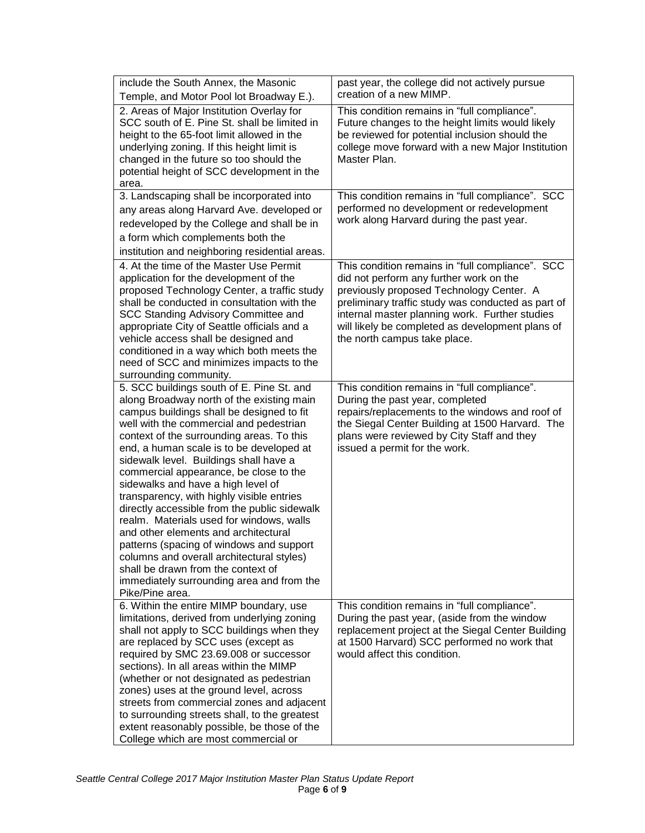| include the South Annex, the Masonic<br>Temple, and Motor Pool lot Broadway E.).                                                                                                                                                                                                                                                                                                                                                                                                                                                                                                                                                                                                                                                                                                  | past year, the college did not actively pursue<br>creation of a new MIMP.                                                                                                                                                                                                                                                           |
|-----------------------------------------------------------------------------------------------------------------------------------------------------------------------------------------------------------------------------------------------------------------------------------------------------------------------------------------------------------------------------------------------------------------------------------------------------------------------------------------------------------------------------------------------------------------------------------------------------------------------------------------------------------------------------------------------------------------------------------------------------------------------------------|-------------------------------------------------------------------------------------------------------------------------------------------------------------------------------------------------------------------------------------------------------------------------------------------------------------------------------------|
| 2. Areas of Major Institution Overlay for<br>SCC south of E. Pine St. shall be limited in<br>height to the 65-foot limit allowed in the<br>underlying zoning. If this height limit is<br>changed in the future so too should the<br>potential height of SCC development in the<br>area.                                                                                                                                                                                                                                                                                                                                                                                                                                                                                           | This condition remains in "full compliance".<br>Future changes to the height limits would likely<br>be reviewed for potential inclusion should the<br>college move forward with a new Major Institution<br>Master Plan.                                                                                                             |
| 3. Landscaping shall be incorporated into<br>any areas along Harvard Ave. developed or<br>redeveloped by the College and shall be in<br>a form which complements both the<br>institution and neighboring residential areas.                                                                                                                                                                                                                                                                                                                                                                                                                                                                                                                                                       | This condition remains in "full compliance". SCC<br>performed no development or redevelopment<br>work along Harvard during the past year.                                                                                                                                                                                           |
| 4. At the time of the Master Use Permit<br>application for the development of the<br>proposed Technology Center, a traffic study<br>shall be conducted in consultation with the<br>SCC Standing Advisory Committee and<br>appropriate City of Seattle officials and a<br>vehicle access shall be designed and<br>conditioned in a way which both meets the<br>need of SCC and minimizes impacts to the<br>surrounding community.                                                                                                                                                                                                                                                                                                                                                  | This condition remains in "full compliance". SCC<br>did not perform any further work on the<br>previously proposed Technology Center. A<br>preliminary traffic study was conducted as part of<br>internal master planning work. Further studies<br>will likely be completed as development plans of<br>the north campus take place. |
| 5. SCC buildings south of E. Pine St. and<br>along Broadway north of the existing main<br>campus buildings shall be designed to fit<br>well with the commercial and pedestrian<br>context of the surrounding areas. To this<br>end, a human scale is to be developed at<br>sidewalk level. Buildings shall have a<br>commercial appearance, be close to the<br>sidewalks and have a high level of<br>transparency, with highly visible entries<br>directly accessible from the public sidewalk<br>realm. Materials used for windows, walls<br>and other elements and architectural<br>patterns (spacing of windows and support<br>columns and overall architectural styles)<br>shall be drawn from the context of<br>immediately surrounding area and from the<br>Pike/Pine area. | This condition remains in "full compliance".<br>During the past year, completed<br>repairs/replacements to the windows and roof of<br>the Siegal Center Building at 1500 Harvard. The<br>plans were reviewed by City Staff and they<br>issued a permit for the work.                                                                |
| 6. Within the entire MIMP boundary, use<br>limitations, derived from underlying zoning<br>shall not apply to SCC buildings when they<br>are replaced by SCC uses (except as<br>required by SMC 23.69.008 or successor<br>sections). In all areas within the MIMP<br>(whether or not designated as pedestrian<br>zones) uses at the ground level, across<br>streets from commercial zones and adjacent<br>to surrounding streets shall, to the greatest<br>extent reasonably possible, be those of the<br>College which are most commercial or                                                                                                                                                                                                                                     | This condition remains in "full compliance".<br>During the past year, (aside from the window<br>replacement project at the Siegal Center Building<br>at 1500 Harvard) SCC performed no work that<br>would affect this condition.                                                                                                    |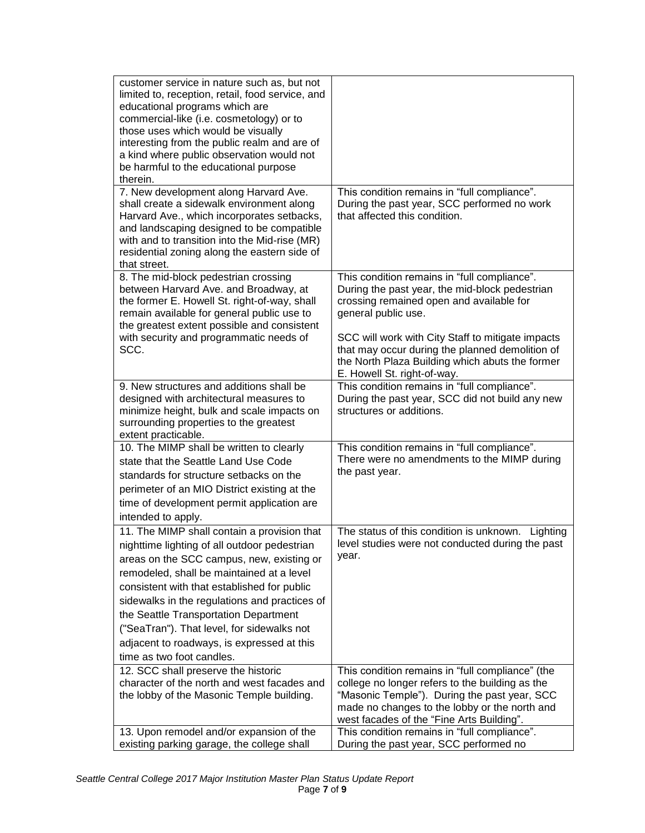| customer service in nature such as, but not<br>limited to, reception, retail, food service, and<br>educational programs which are<br>commercial-like (i.e. cosmetology) or to<br>those uses which would be visually<br>interesting from the public realm and are of<br>a kind where public observation would not<br>be harmful to the educational purpose<br>therein.                                                                                   |                                                                                                                                                                                                                                                   |
|---------------------------------------------------------------------------------------------------------------------------------------------------------------------------------------------------------------------------------------------------------------------------------------------------------------------------------------------------------------------------------------------------------------------------------------------------------|---------------------------------------------------------------------------------------------------------------------------------------------------------------------------------------------------------------------------------------------------|
| 7. New development along Harvard Ave.<br>shall create a sidewalk environment along<br>Harvard Ave., which incorporates setbacks,<br>and landscaping designed to be compatible<br>with and to transition into the Mid-rise (MR)<br>residential zoning along the eastern side of<br>that street.                                                                                                                                                          | This condition remains in "full compliance".<br>During the past year, SCC performed no work<br>that affected this condition.                                                                                                                      |
| 8. The mid-block pedestrian crossing<br>between Harvard Ave. and Broadway, at<br>the former E. Howell St. right-of-way, shall<br>remain available for general public use to<br>the greatest extent possible and consistent                                                                                                                                                                                                                              | This condition remains in "full compliance".<br>During the past year, the mid-block pedestrian<br>crossing remained open and available for<br>general public use.                                                                                 |
| with security and programmatic needs of<br>SCC.                                                                                                                                                                                                                                                                                                                                                                                                         | SCC will work with City Staff to mitigate impacts<br>that may occur during the planned demolition of<br>the North Plaza Building which abuts the former<br>E. Howell St. right-of-way.                                                            |
| 9. New structures and additions shall be<br>designed with architectural measures to<br>minimize height, bulk and scale impacts on<br>surrounding properties to the greatest<br>extent practicable.                                                                                                                                                                                                                                                      | This condition remains in "full compliance".<br>During the past year, SCC did not build any new<br>structures or additions.                                                                                                                       |
| 10. The MIMP shall be written to clearly<br>state that the Seattle Land Use Code<br>standards for structure setbacks on the<br>perimeter of an MIO District existing at the<br>time of development permit application are<br>intended to apply.                                                                                                                                                                                                         | This condition remains in "full compliance".<br>There were no amendments to the MIMP during<br>the past year.                                                                                                                                     |
| 11. The MIMP shall contain a provision that<br>nighttime lighting of all outdoor pedestrian<br>areas on the SCC campus, new, existing or<br>remodeled, shall be maintained at a level<br>consistent with that established for public<br>sidewalks in the regulations and practices of<br>the Seattle Transportation Department<br>("SeaTran"). That level, for sidewalks not<br>adjacent to roadways, is expressed at this<br>time as two foot candles. | The status of this condition is unknown.<br>Lighting<br>level studies were not conducted during the past<br>year.                                                                                                                                 |
| 12. SCC shall preserve the historic<br>character of the north and west facades and<br>the lobby of the Masonic Temple building.                                                                                                                                                                                                                                                                                                                         | This condition remains in "full compliance" (the<br>college no longer refers to the building as the<br>"Masonic Temple"). During the past year, SCC<br>made no changes to the lobby or the north and<br>west facades of the "Fine Arts Building". |
| 13. Upon remodel and/or expansion of the<br>existing parking garage, the college shall                                                                                                                                                                                                                                                                                                                                                                  | This condition remains in "full compliance".<br>During the past year, SCC performed no                                                                                                                                                            |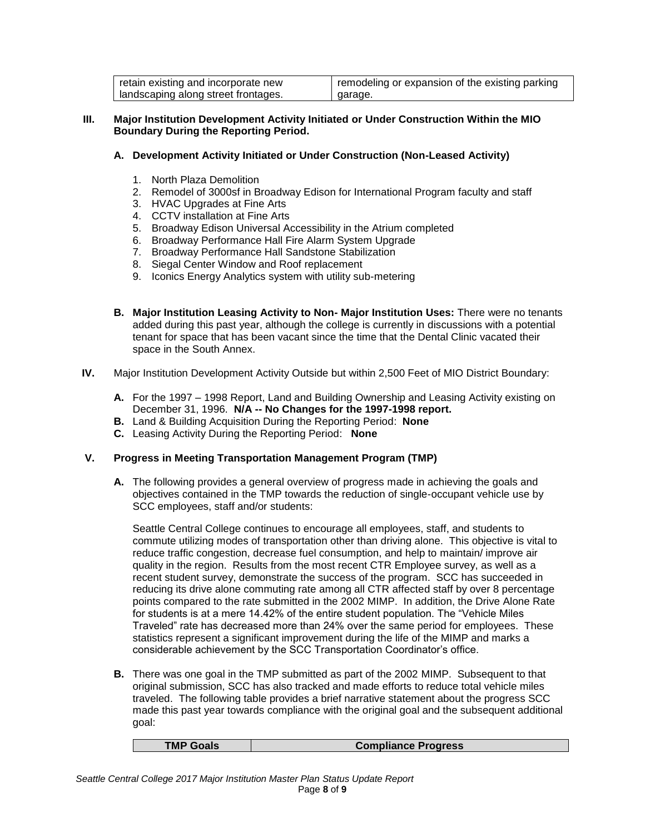| retain existing and incorporate new | remodeling or expansion of the existing parking |
|-------------------------------------|-------------------------------------------------|
| landscaping along street frontages. | garage.                                         |

#### **III. Major Institution Development Activity Initiated or Under Construction Within the MIO Boundary During the Reporting Period.**

## **A. Development Activity Initiated or Under Construction (Non-Leased Activity)**

- 1. North Plaza Demolition
- 2. Remodel of 3000sf in Broadway Edison for International Program faculty and staff
- 3. HVAC Upgrades at Fine Arts
- 4. CCTV installation at Fine Arts
- 5. Broadway Edison Universal Accessibility in the Atrium completed
- 6. Broadway Performance Hall Fire Alarm System Upgrade
- 7. Broadway Performance Hall Sandstone Stabilization
- 8. Siegal Center Window and Roof replacement
- 9. Iconics Energy Analytics system with utility sub-metering
- **B. Major Institution Leasing Activity to Non- Major Institution Uses:** There were no tenants added during this past year, although the college is currently in discussions with a potential tenant for space that has been vacant since the time that the Dental Clinic vacated their space in the South Annex.
- **IV.** Major Institution Development Activity Outside but within 2,500 Feet of MIO District Boundary:
	- **A.** For the 1997 1998 Report, Land and Building Ownership and Leasing Activity existing on December 31, 1996. **N/A -- No Changes for the 1997-1998 report.**
	- **B.** Land & Building Acquisition During the Reporting Period: **None**
	- **C.** Leasing Activity During the Reporting Period: **None**

#### **V. Progress in Meeting Transportation Management Program (TMP)**

**A.** The following provides a general overview of progress made in achieving the goals and objectives contained in the TMP towards the reduction of single-occupant vehicle use by SCC employees, staff and/or students:

Seattle Central College continues to encourage all employees, staff, and students to commute utilizing modes of transportation other than driving alone. This objective is vital to reduce traffic congestion, decrease fuel consumption, and help to maintain/ improve air quality in the region. Results from the most recent CTR Employee survey, as well as a recent student survey, demonstrate the success of the program. SCC has succeeded in reducing its drive alone commuting rate among all CTR affected staff by over 8 percentage points compared to the rate submitted in the 2002 MIMP. In addition, the Drive Alone Rate for students is at a mere 14.42% of the entire student population. The "Vehicle Miles Traveled" rate has decreased more than 24% over the same period for employees. These statistics represent a significant improvement during the life of the MIMP and marks a considerable achievement by the SCC Transportation Coordinator's office.

**B.** There was one goal in the TMP submitted as part of the 2002 MIMP. Subsequent to that original submission, SCC has also tracked and made efforts to reduce total vehicle miles traveled. The following table provides a brief narrative statement about the progress SCC made this past year towards compliance with the original goal and the subsequent additional goal:

| <b>TMP Goals</b><br><b>Compliance Progress</b> |
|------------------------------------------------|
|------------------------------------------------|